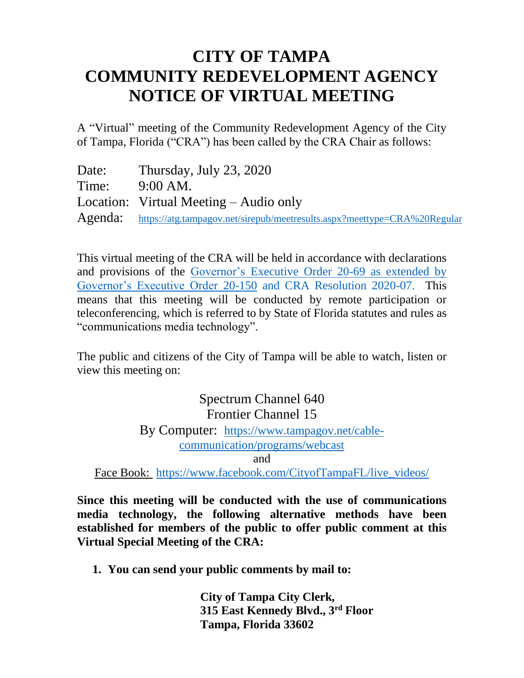## **CITY OF TAMPA COMMUNITY REDEVELOPMENT AGENCY NOTICE OF VIRTUAL MEETING**

A "Virtual" meeting of the Community Redevelopment Agency of the City of Tampa, Florida ("CRA") has been called by the CRA Chair as follows:

| Date: | Thursday, July 23, 2020                                                          |
|-------|----------------------------------------------------------------------------------|
| Time: | $9:00$ AM.                                                                       |
|       | Location: Virtual Meeting $-$ Audio only                                         |
|       | Agenda: https://atg.tampagov.net/sirepub/meetresults.aspx?meettype=CRA%20Regular |

This virtual meeting of the CRA will be held in accordance with declarations and provisions of the [Governor's Executive Order 20-69](https://www.flgov.com/wp-content/uploads/orders/2020/EO_20-69.pdf) as extended by Governor's Executive Order 20-150 and CRA Resolution 2020-07. This means that this meeting will be conducted by remote participation or teleconferencing, which is referred to by State of Florida statutes and rules as "communications media technology".

The public and citizens of the City of Tampa will be able to watch, listen or view this meeting on:

> Spectrum Channel 640 Frontier Channel 15 By Computer: [https://www.tampagov.net/cable](https://www.tampagov.net/cable-communication/programs/webcast)[communication/programs/webcast](https://www.tampagov.net/cable-communication/programs/webcast)

> > and

Face Book: [https://www.facebook.com/CityofTampaFL/live\\_videos/](https://www.facebook.com/CityofTampaFL/live_videos/)

**Since this meeting will be conducted with the use of communications media technology, the following alternative methods have been established for members of the public to offer public comment at this Virtual Special Meeting of the CRA:**

**1. You can send your public comments by mail to:**

**City of Tampa City Clerk, 315 East Kennedy Blvd., 3rd Floor Tampa, Florida 33602**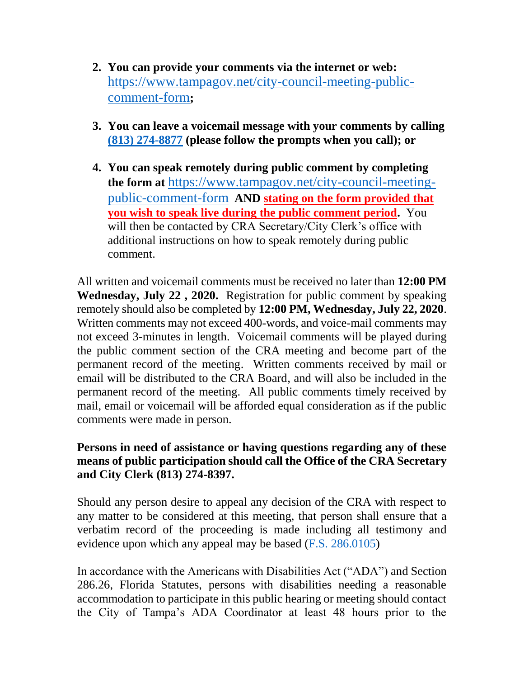- **2. You can provide your comments via the internet or web:**  [https://www.tampagov.net/city-council-meeting-public](https://www.tampagov.net/city-council-meeting-public-comment-form)[comment-form](https://www.tampagov.net/city-council-meeting-public-comment-form)**;**
- **3. You can leave a voicemail message with your comments by calling (813) [274-8877](tel://813-274-8877/) (please follow the prompts when you call); or**
- **4. You can speak remotely during public comment by completing the form at** [https://www.tampagov.net/city-council-meeting](https://www.tampagov.net/city-council-meeting-public-comment-form)[public-comment-form](https://www.tampagov.net/city-council-meeting-public-comment-form) **AND stating on the form provided that you wish to speak live during the public comment period.** You will then be contacted by CRA Secretary/City Clerk's office with additional instructions on how to speak remotely during public comment.

All written and voicemail comments must be received no later than **12:00 PM Wednesday, July 22 , 2020.** Registration for public comment by speaking remotely should also be completed by **12:00 PM, Wednesday, July 22, 2020**. Written comments may not exceed 400-words, and voice-mail comments may not exceed 3-minutes in length. Voicemail comments will be played during the public comment section of the CRA meeting and become part of the permanent record of the meeting. Written comments received by mail or email will be distributed to the CRA Board, and will also be included in the permanent record of the meeting. All public comments timely received by mail, email or voicemail will be afforded equal consideration as if the public comments were made in person.

## **Persons in need of assistance or having questions regarding any of these means of public participation should call the Office of the CRA Secretary and City Clerk (813) 274-8397.**

Should any person desire to appeal any decision of the CRA with respect to any matter to be considered at this meeting, that person shall ensure that a verbatim record of the proceeding is made including all testimony and evidence upon which any appeal may be based  $(F.S. 286.0105)$ 

In accordance with the Americans with Disabilities Act ("ADA") and Section 286.26, Florida Statutes, persons with disabilities needing a reasonable accommodation to participate in this public hearing or meeting should contact the City of Tampa's ADA Coordinator at least 48 hours prior to the